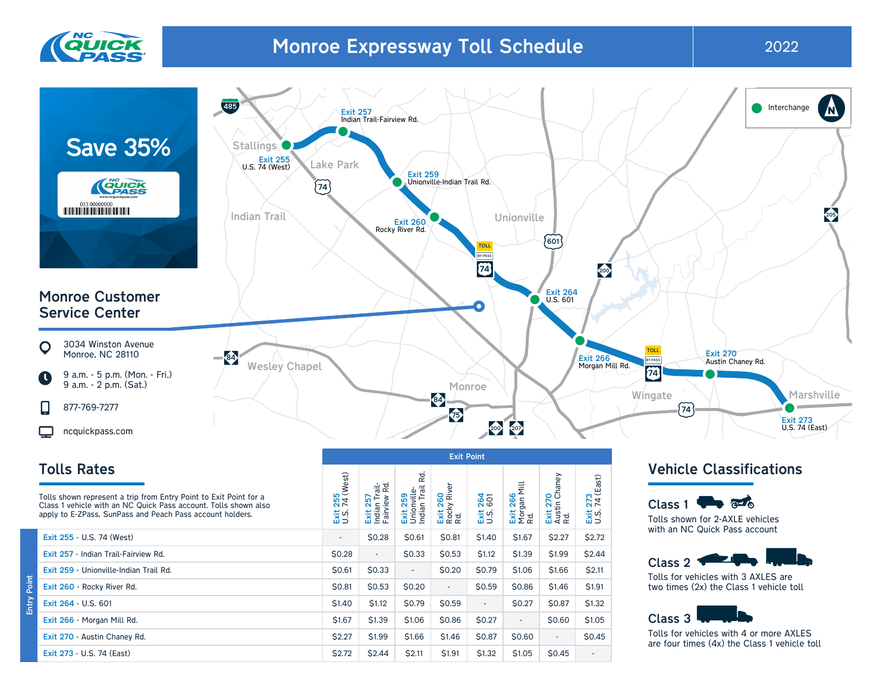

# Monroe Expressway Toll Schedule 2022



## Tolls Rates

| 255<br>74 (West)<br>iss<br>D.S. | Trail-<br>w Rd.<br>Exit 257<br>Indian Tra<br>Fairview I | Exit 259<br>Unionville-<br>Indian Trail | 260<br>V River<br>Exit 2 <sup>o</sup><br>Rocky<br>Rd. | <b>264</b><br>ixis | Mill<br>266<br>Exit 266<br>Morgan<br>Rd. |              | '3<br>I (East)<br><b>ZZ</b><br>Exit |
|---------------------------------|---------------------------------------------------------|-----------------------------------------|-------------------------------------------------------|--------------------|------------------------------------------|--------------|-------------------------------------|
| $\overline{\phantom{a}}$        | \$0.28                                                  | \$0.61                                  | \$0.81                                                | \$1.40             | \$1.67                                   | \$2.27       | \$2.72                              |
| \$0.28                          | $\overline{\phantom{a}}$                                | <b>S0.33</b>                            | \$0.53                                                | \$1.12             | <b>S1.39</b>                             | \$1.99       | \$2.44                              |
| <b>SO.61</b>                    | \$0.33                                                  | $\overline{\phantom{a}}$                | \$0.20                                                | \$0.79             | <b>S1.06</b>                             | \$1.66       | \$2.11                              |
| \$0.81                          | \$0.53                                                  | \$0.20                                  | $\overline{\phantom{a}}$                              | \$0.59             | \$0.86                                   | \$1.46       | <b>\$1.91</b>                       |
| <b>S1.40</b>                    | \$1.12                                                  | <b>S0.79</b>                            | \$0.59                                                | $\sim$             | <b>S0.27</b>                             | \$0.87       | \$1.32                              |
| \$1.67                          | \$1.39                                                  | \$1.06                                  | \$0.86                                                | \$0.27             | ٠                                        | <b>S0.60</b> | \$1.05                              |
| \$2.27                          | \$1.99                                                  | \$1.66                                  | \$1.46                                                | \$0.87             | \$0.60                                   | $\sim$       | \$0.45                              |
| \$2.72                          | \$2.44                                                  | \$2.11                                  | \$1.91                                                | \$1.32             | \$1.05                                   | \$0.45       |                                     |
|                                 |                                                         |                                         |                                                       |                    | 젆                                        |              | Exit 270<br>Austin Chaney<br>Rd.    |

### Vehicle Classifications

Class 1  $\blacksquare$ Tolls shown for 2-AXLE vehicles with an NC Quick Pass account



Tolls for vehicles with 3 AXLES are two times (2x) the Class 1 vehicle toll



Tolls for vehicles with 4 or more AXLES are four times (4x) the Class 1 vehicle toll